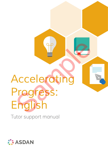# *Accelerating Progress: English* Nederating<br>Nederating<br>Progress:<br>English

Tutor support manual

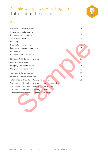# Accelerating Progress: English Tutor support manual



# **Contents**

| <b>Section 1: Introduction</b>                          | 3              |
|---------------------------------------------------------|----------------|
| Course aims and overview                                | 4              |
| Introduction to the modules                             | 5              |
| Step-by-step guide                                      | 6              |
| Planning                                                | $\overline{7}$ |
| E-portfolio requirements                                | 8              |
| Learner workbook requirements                           | 9              |
| Progression                                             | 10             |
| Internal moderation checklist                           | 11             |
| <b>Section 2: Skills development</b>                    | 12             |
| English skills overview                                 | 13             |
| Mapping skills to challenges                            | 14             |
| Mapping modules to skills                               | 18             |
| <b>Section 3: Tutor notes</b>                           | 23             |
| Introduction to the tutor notes                         | 24             |
| Tutor notes for Module 1: Developing your voice         | 25             |
| Tutor notes for Module 2: Developing your understanding | 44             |
| Tutor notes for Module 3: Developing your writing       | 60             |
| Tutor notes for Module 4: Knowing the world             | 77             |
| Tutor notes for Module 5: Knowing about fiction         | 92             |
|                                                         |                |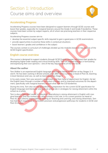# Section 1: Introduction Course aims and overview



## **Accelerating Progress**

Accelerating Progress courses have been designed to support learners through GCSE courses and boost their grades, especially for marginal learners around the Grade 4 and Grade 5 borderline. These courses have been written by subject experts, all of whom are practising teachers in their respective subjects.

Accelerating Progress courses aim to:

- develop the essential subject-specific skills required to gain a good pass in GCSE examinations
- provide opportunities to practise these skills in contextual situations
- boost learners' grades and confidence in the subject

The courses contain a curriculum of challenges divided up into modules based on key aspects of the GCSE English specification.

#### **English course overview**

This course is designed to support students through GCSE English courses and boost their grades by developing higher-order reading and critical thinking skills. This will support learners in formulating and expressing their own opinions – one of the key requirements of the new GCSE.

#### **About the author**

Tom Walker is an experienced English language and English literature teacher at Key Stages 3, 4 and 5. He has been working in Bristol schools since 2007 and is currently a head of Post-16, teaching A-level literature and Law, as well as teaching at Key Stage 4.

In his early career, Tom was second in department and then head of department for English. He led the English team through a number of curriculum changes and to improved outcomes for the department, specifically with marginal learners around what was the C/D borderline.

During this time, Tom also set the groundwork in preparation for the current GCSE specification for English language and literature, and took an active role in strategies for raising attainment within the school as a whole.

Tom is also a Specialist Leader in Education, specialising in raising attainment in English with marginal learners, and has worked with other schools in this role. In his current position as Head of Post-16, he is directly responsible for leading on Teaching and Learning, and raising attainment. Tom has had much experience of curriculum provision and progression pathways for students in GCSE and Post-16 studies. wide opportunities to practise these skills in contextual situations<br>out learners' grades and contridence in the subject<br>ourses contain a curriculum of challenges divided up into modules bosed on key ospects of<br>curres cont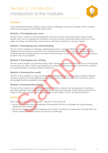

#### **Modules**

The Accelerating Progress: English course contains challenges across five modules. These modules reflect the key aspects of the GCSE specification.

#### **Module 1: Developing your voice**

The aim of this module is voice development whilst at the same time improving a range of other English skills such as spelling and vocabulary. Activities include analysing sentence structure in passages of writing, and delivering a persuasive or informative speech to a group of adults.

#### **Module 2: Developing your understanding**

The aim of this module is to develop understanding within a range of different contexts, such as reading and writing clear instructions and creating instructional videos. Learners will develop their understanding by considering how they learn new techniques as well as how they learned techniques at which they are competent. so the module is to develop the state and setting and selection Brownless.<br>
The 2: Developing your understanding within a range of different contexts, such as<br>
imp and within edee instructions and ceating instructional vid

#### **Module 3: Developing your writing**

The aim of this module is to develop writing skills, improve grammar and develop the use of language and structure for effect. There is an emphasis on writing for different purposes and learners will gain an understanding of writing for different audiences.

#### **Module 4: Knowing the world**

The aim of this module is to focus on developing understanding of writing using a range of different contexts. Learners will study different kinds of texts such as historical and other non-fiction and be encouraged towards purposeful outcomes.

#### **Module 5: Knowing about fiction**

The aim of this module is to develop knowledge of fiction. Learners will be expected to read texts, describe characters and understand such things as figurative language, mood, plot and narrative. A range of texts are covered in this module: whole novels, poetry, comics and period literature.

#### **Sections**

Each module is split into two sections – Section A and Section B:

- Section A comprises shorter challenges that develop the skills, knowledge and understanding required for the module topic
- Section B comprises extended challenges that stretch the learner's independent thinking skills and further develop the learning from the section A challenges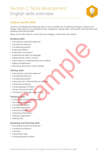# Section 2: Skills development English skills overview



### **Subject-specific skills**

Learners will develop the following skills as they complete the Accelerating Progress: English challenges. These skills can be divided into four categories: reading skills; writing skills; thinking skills; and speaking and listening skills.

Many of the skills feature in more than one category; these skills are marked \*

#### **Reading skills**

- Articulating a personal response\*
- Considering audience\*
- Considering purpose\*
- Evaluating effects\*
- Evaluating information\*
- Explaining the effect of language
- Explaining the writer's choices
- Improving your understanding when reading iculating opersonal response<br>
insidering audience<br>
insidering purpose<br>
insidering purpose<br>
insidering purpose<br>
alluting information<br>
bloming the writer's choices<br>
bloming the writer's choices<br>
proving your understanding wh
- Making comparisons\*
- Retrieving information when reading

#### **Writing skills**

- Articulating a personal response\*
- Considering audience\*
- Considering purpose\*
- Improving your understanding of spelling
- Increasing vocabulary
- Using language for effect\*
- Using structure for effect
- Varying your language when writing

#### **Thinking skills**

- Articulating a personal response\*
- Considering audience\*
- Considering context
- Considering purpose\*
- Evaluating effects\*
- Evaluating information\*
- Making comparisons\*
- Making links

#### **Speaking and listening skills**

- Articulating a personal response\*
- Considering audience\*
- Listening
- Presentation skills
- Using language for effect\*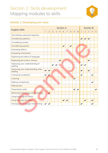

# **Module 1: Developing your voice**

|                                              |              | <b>Section A</b><br><b>Section B</b> |                |                |              |              |              |              |              |              |              |                |              |                |   |
|----------------------------------------------|--------------|--------------------------------------|----------------|----------------|--------------|--------------|--------------|--------------|--------------|--------------|--------------|----------------|--------------|----------------|---|
| <b>English skills</b>                        | $\mathbf{1}$ | $\overline{2}$                       | $\overline{3}$ | $\overline{4}$ | 5            | 6            | 7            | 8            | 9            | 10           | $\mathbf{1}$ | $\overline{2}$ | 3            | $\overline{4}$ | 5 |
| Articulating a personal response             |              |                                      |                |                |              |              |              |              |              |              |              |                |              |                |   |
| Considering audience                         |              |                                      |                |                |              |              |              |              |              |              |              |                | ✔            |                |   |
| Considering context                          |              |                                      |                |                |              |              |              |              |              |              |              |                |              |                |   |
| Considering purpose                          |              |                                      |                |                |              | $\checkmark$ |              | $\checkmark$ |              |              |              |                |              |                |   |
| Evaluating effects                           |              |                                      |                |                |              |              |              |              |              |              |              |                |              |                |   |
| Evaluating information                       |              |                                      |                |                |              |              |              |              |              |              |              |                |              |                |   |
| Explaining the effect of language            |              |                                      |                |                |              |              |              |              |              |              |              |                |              |                |   |
| Explaining the writer's choices              |              |                                      |                |                | $\checkmark$ |              |              |              |              |              |              |                | $\checkmark$ |                |   |
| Improving your understanding of<br>spelling  |              |                                      | $\checkmark$   | $\checkmark$   |              |              |              |              |              |              |              | $\checkmark$   |              |                |   |
| Improving your understanding when<br>reading | $\checkmark$ | $\checkmark$                         |                |                |              |              |              |              |              |              |              |                | $\checkmark$ |                |   |
| Increasing vocabulary                        | $\checkmark$ |                                      |                |                |              |              |              |              |              |              | $\checkmark$ |                |              | ✓              |   |
| Listening                                    |              |                                      |                |                |              |              |              |              | $\checkmark$ |              |              |                |              |                |   |
| Making comparisons                           |              |                                      |                |                |              |              |              |              |              |              |              |                |              | ✔              |   |
| <b>Making links</b>                          |              |                                      |                |                |              |              |              |              |              |              |              |                |              |                |   |
| Presentation skills                          |              |                                      |                |                |              |              |              |              | ✔            | $\checkmark$ |              |                |              |                |   |
| Retrieving information when reading          |              | ✓                                    |                |                |              |              |              |              |              |              |              |                |              |                |   |
| Using language for effect                    |              |                                      |                |                |              |              |              |              |              |              |              |                |              |                |   |
| Using structure for effect                   |              |                                      |                |                |              | $\checkmark$ | $\checkmark$ |              |              |              |              | $\checkmark$   |              | $\checkmark$   |   |
| Varying your language when writing           |              | ✔                                    |                |                |              |              |              |              |              |              |              |                |              | ✔              |   |
|                                              |              |                                      |                |                |              |              |              |              |              |              |              |                |              |                |   |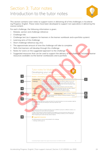# Section 3: Tutor notes Introduction to the tutor notes



This section contains tutor notes to support tutors in delivering all of the challenges in Accelerating Progress: English. These notes have been developed to support non-specialists in delivering the course content.

For each challenge, the following information is given:

- 1 Module, section and challenge reference
- 2 Challenge title
- 3 Challenge text (as it appears for learners in the learner workbook and e-portfolio system)
- 4 Learning aims of the challenge
- 5 Short challenge reference (eg 1A1)
- 6 The approximate amount of time the challenge will take to complete
- 7 Skills that learners will develop through this challenge
- 8 Notes for tutors on the suggested approach to the challenge
- 9 Suggested resources that can be used to support the delivery of the challenge, including learner resources available via the learner workboooks and e-portfolio

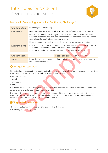

# **Module 1: Developing your voice, Section A, Challenge 1**

| <b>Challenge title</b>                                                                                                                                                                                                                                               | Improving your vocabulary                                                                                                                                                                                              |                                                                             |                   |  |
|----------------------------------------------------------------------------------------------------------------------------------------------------------------------------------------------------------------------------------------------------------------------|------------------------------------------------------------------------------------------------------------------------------------------------------------------------------------------------------------------------|-----------------------------------------------------------------------------|-------------------|--|
| <b>Challenge</b>                                                                                                                                                                                                                                                     |                                                                                                                                                                                                                        | Look through your written work (use as many different subjects as you can). |                   |  |
|                                                                                                                                                                                                                                                                      | Find a selection of words that you use a lot in your written work. Write the<br>definition of these words and find words that have the same meaning. Create<br>example sentences that use these synonyms.              |                                                                             |                   |  |
|                                                                                                                                                                                                                                                                      | Show evidence that you have used these synonyms in your own writing.                                                                                                                                                   |                                                                             |                   |  |
| <b>Learning aims</b>                                                                                                                                                                                                                                                 | • To encourage students to identify small steps that they can take in order to<br>improve their vocabulary and to develop their reflective skills<br>• Students need to learn in context and across different subjects |                                                                             |                   |  |
|                                                                                                                                                                                                                                                                      |                                                                                                                                                                                                                        |                                                                             |                   |  |
| Challenge ref.                                                                                                                                                                                                                                                       | 1A1                                                                                                                                                                                                                    | <b>Challenge time</b>                                                       | approx. 2.5 hours |  |
| <b>Skills</b>                                                                                                                                                                                                                                                        | Improving your understanding when reading; Increasing vocabulary; Varying<br>your language when writing                                                                                                                |                                                                             |                   |  |
| <b>8</b> Suggested approach<br>Students should be expected to locate and select the words themselves, but some examples might be<br>used to model what they are looking for when they read their work.<br>Examples include:<br>• good                                |                                                                                                                                                                                                                        |                                                                             |                   |  |
| • interesting<br>• very                                                                                                                                                                                                                                              |                                                                                                                                                                                                                        |                                                                             |                   |  |
| It is important for them to recognise that they may use different synonyms in different contexts, so a<br>range of synonyms for each word can be explored.                                                                                                           |                                                                                                                                                                                                                        |                                                                             |                   |  |
| In order to find synonyms, learners should be encouraged to use actual resources rather than just<br>using the internet. There are a lot of online resources for building vocabulary, but the challenge is<br>about recognising the words that they need to improve. |                                                                                                                                                                                                                        |                                                                             |                   |  |
| Suggested resources                                                                                                                                                                                                                                                  |                                                                                                                                                                                                                        |                                                                             |                   |  |
| The following learner resources are provided for this challenge:<br>• Challenge walkthrough 1A1                                                                                                                                                                      |                                                                                                                                                                                                                        |                                                                             |                   |  |

# *B* Suggested approach

- good
- interesting
- very

# **Suggested resources**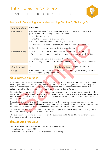

## **Module 2: Developing your understanding, Section B, Challenge 5**

| <b>Challenge title</b>                                                                                                                                                                                                                                                                                                                                                                                                           | Older texts                                                                                                                                                   |                       |                    |  |  |
|----------------------------------------------------------------------------------------------------------------------------------------------------------------------------------------------------------------------------------------------------------------------------------------------------------------------------------------------------------------------------------------------------------------------------------|---------------------------------------------------------------------------------------------------------------------------------------------------------------|-----------------------|--------------------|--|--|
| <b>Challenge</b>                                                                                                                                                                                                                                                                                                                                                                                                                 | Choose a key scene from a Shakespeare play and develop a new way to<br>perform it so that a younger audience understands:<br>• what is happening in the scene |                       |                    |  |  |
|                                                                                                                                                                                                                                                                                                                                                                                                                                  | • what the key themes of the scene are                                                                                                                        |                       |                    |  |  |
|                                                                                                                                                                                                                                                                                                                                                                                                                                  | • what the main characters are feeling or thinking                                                                                                            |                       |                    |  |  |
|                                                                                                                                                                                                                                                                                                                                                                                                                                  | You may choose to change the language and the way it is performed.                                                                                            |                       |                    |  |  |
|                                                                                                                                                                                                                                                                                                                                                                                                                                  | Perform the piece and evaluate it using a questionnaire.                                                                                                      |                       |                    |  |  |
| <b>Learning aims</b>                                                                                                                                                                                                                                                                                                                                                                                                             | • To encourage students to read closely and interpret information<br>To encourage students to identify key themes in important works of litera-<br>ture       |                       |                    |  |  |
|                                                                                                                                                                                                                                                                                                                                                                                                                                  | • To encourage students to consider characterisation                                                                                                          |                       |                    |  |  |
|                                                                                                                                                                                                                                                                                                                                                                                                                                  | • To encourage students to think about the context of texts and of audiences                                                                                  |                       |                    |  |  |
|                                                                                                                                                                                                                                                                                                                                                                                                                                  |                                                                                                                                                               |                       |                    |  |  |
| Challenge ref.                                                                                                                                                                                                                                                                                                                                                                                                                   | 2B5                                                                                                                                                           | <b>Challenge time</b> | approx. 5-10 hours |  |  |
| <b>Skills</b>                                                                                                                                                                                                                                                                                                                                                                                                                    | Considering audience; Explaining the effect of language; Explaining the writ-<br>er's choices; Using language for effect                                      |                       |                    |  |  |
| <b>B</b> Suggested approach<br>All students need to study Shakespeare and will all be familiar with at least one play. They should be<br>encouraged to work with a play that they are confident with, as the language is so challenging. They<br>should be encouraged to select a pivotal moment in the play (eg the moment that Romeo first sees<br>Juliet, Macbeth's wife convincing him to go through with murdering Duncan). |                                                                                                                                                               |                       |                    |  |  |
| Students should then identify the key language and meanings that they want to communicate to their<br>audiences, and create a set of directorial notes to help them plan the scene. The Macbeth scene direc-<br>tion resource can be used to support this part of the challenge and can easily be adapted for other<br>Shakespeare plays.                                                                                        |                                                                                                                                                               |                       |                    |  |  |
| If the students wish to change the language, be aware that websites such as Sparknotes No Fear<br>Shakespeare (http://nfs.sparknotes.com) offer modern translations of the plays, so any modernisations<br>produced by the students need to be checked to ensure that they are not plagiarised.                                                                                                                                  |                                                                                                                                                               |                       |                    |  |  |
|                                                                                                                                                                                                                                                                                                                                                                                                                                  | Students need to consider a number of dramatic techniques to emphasise key lines, including stage<br>directions, body language and delivery of the lines.     |                       |                    |  |  |
| The ovaluation questionnaire should fears on the qualippeo's ability to identify the key themes that                                                                                                                                                                                                                                                                                                                             |                                                                                                                                                               |                       |                    |  |  |

| Challenge ref. | 2B5                                                                                                                      | <b>Challenge time</b>   approx. 5-10 hours |  |
|----------------|--------------------------------------------------------------------------------------------------------------------------|--------------------------------------------|--|
| <b>Skills</b>  | Considering audience; Explaining the effect of language; Explaining the writ-<br>er's choices; Using language for effect |                                            |  |

# *B* Suggested approach

The evaluation questionnaire should focus on the audience's ability to identify the key themes that the students were trying to convey.

# **E** Suggested resources

The following learner resources are provided for this challenge:

- Challenge walkthrough 2B5
- Macbeth scene direction (p.63–67 of the learner workbook)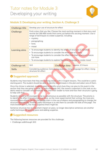

# **Module 3: Developing your writing, Section A, Challenge 3**

| <b>Challenge title</b>                                                                                                                                                                                                                                                                                                                                                                                                                                                                | Develop your use of structure for effect                                                                                                                                                                                                                                                                                   |                       |                   |  |
|---------------------------------------------------------------------------------------------------------------------------------------------------------------------------------------------------------------------------------------------------------------------------------------------------------------------------------------------------------------------------------------------------------------------------------------------------------------------------------------|----------------------------------------------------------------------------------------------------------------------------------------------------------------------------------------------------------------------------------------------------------------------------------------------------------------------------|-----------------------|-------------------|--|
| <b>Challenge</b>                                                                                                                                                                                                                                                                                                                                                                                                                                                                      | Find a story that you like. Choose the most exciting moment in that story and<br>rewrite the 300-400 words that come just before this exciting moment. Use a<br>range of techniques to create suspense, including:<br>mystery<br>$\bullet$<br>paragraphing<br>hints<br>mood                                                |                       |                   |  |
| <b>Learning aims</b>                                                                                                                                                                                                                                                                                                                                                                                                                                                                  | • To encourage students to identify the effect of structure in narrative<br>• To encourage students to consider the entire plot of a story<br>• To encourage students to consider the effect that their structural choices<br>can have<br>To encourage students to explore figurative language to create mood<br>$\bullet$ |                       |                   |  |
|                                                                                                                                                                                                                                                                                                                                                                                                                                                                                       |                                                                                                                                                                                                                                                                                                                            |                       |                   |  |
| Challenge ref.                                                                                                                                                                                                                                                                                                                                                                                                                                                                        | 3A3                                                                                                                                                                                                                                                                                                                        | <b>Challenge time</b> | approx. 2.5 hours |  |
| <b>Skills</b>                                                                                                                                                                                                                                                                                                                                                                                                                                                                         | Considering audience; Considering purpose; Using language for effect; Using<br>structure for effect                                                                                                                                                                                                                        |                       |                   |  |
| <b>B</b> Suggested approach<br>Students may have texts that they are working closely with in English lessons. This could be a useful                                                                                                                                                                                                                                                                                                                                                  |                                                                                                                                                                                                                                                                                                                            |                       |                   |  |
| starting point. The student should be able to identify key climaxes in the plot and select one of them.                                                                                                                                                                                                                                                                                                                                                                               |                                                                                                                                                                                                                                                                                                                            |                       |                   |  |
| Once the climax is selected, students need to identify what clues they can give to this event in the<br>section that they are going to write. As with challenge 3A2, the mood is important in this task so stu-<br>dents need to consider what emotions they wish their reader to have and how their structure is going<br>to help with that.                                                                                                                                         |                                                                                                                                                                                                                                                                                                                            |                       |                   |  |
| Students should be encouraged to be as adventurous as possible with the structure. The priority is<br>to identify the effect that structure can have, so the more experimental their writing, the more pro-<br>nounced these effects can be. Encourage them in the use of ellipsis and paragraphing to change the<br>structure dramatically. Another useful technique is to ask them to consider the look of the page. The<br>more broken up it is, the more suspense there might be. |                                                                                                                                                                                                                                                                                                                            |                       |                   |  |
| Sentence structure has an important impact on pace, so longer descriptive sentences are another<br>useful technique for slowing pace and adding suspense.                                                                                                                                                                                                                                                                                                                             |                                                                                                                                                                                                                                                                                                                            |                       |                   |  |
| $\mathbf{E}$ Cuangetad resources                                                                                                                                                                                                                                                                                                                                                                                                                                                      |                                                                                                                                                                                                                                                                                                                            |                       |                   |  |

| Challenge ref. | 3A3                                                                                                 |  | <b>Challenge time</b> approx. 2.5 hours |
|----------------|-----------------------------------------------------------------------------------------------------|--|-----------------------------------------|
| <b>Skills</b>  | Considering audience; Considering purpose; Using language for effect; Using<br>structure for effect |  |                                         |

# *<b>B* Suggested approach

# *E* Suggested resources

The following learner resources are provided for this challenge:

• Challenge walkthrough 3A3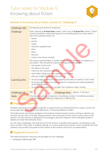

# **Module 5: Knowing about fiction, Section B, Challenge 5**

| <b>Challenge title</b>                                                                                                                                                            | Developing your personal responses                                                                                                                                                                                                                                                                                                                                                                                                                                                                                                                                                                                         |  |  |  |  |
|-----------------------------------------------------------------------------------------------------------------------------------------------------------------------------------|----------------------------------------------------------------------------------------------------------------------------------------------------------------------------------------------------------------------------------------------------------------------------------------------------------------------------------------------------------------------------------------------------------------------------------------------------------------------------------------------------------------------------------------------------------------------------------------------------------------------------|--|--|--|--|
| <b>Challenge</b>                                                                                                                                                                  | Over a period of at least three weeks, write a set of at least five reviews. These<br>reviews should be a personal response to something that you have read or<br>seen and could be reviews of:<br>books<br>$\bullet$<br>poems<br>songs<br>television programmes<br>films<br>plays<br>lectures<br>essays (non-fiction writing)<br>The reviews should follow a similar format and be aimed at an audience of<br>your peers. They should be a personal response that explores:<br>the quality of the work<br>the ideas in the texts<br>what you felt could be improved<br>• what other things you have seen that are similar |  |  |  |  |
| <b>Learning aims</b>                                                                                                                                                              | • who you might recommend the texts to<br>• To encourage students to read regularly and take an interest in the world<br>To encourage students to read closely for meaning and understanding of<br>more difficult texts<br>To encourage students to consider their audience when writing                                                                                                                                                                                                                                                                                                                                   |  |  |  |  |
|                                                                                                                                                                                   |                                                                                                                                                                                                                                                                                                                                                                                                                                                                                                                                                                                                                            |  |  |  |  |
| Challenge ref.                                                                                                                                                                    | 5B5<br>approx. 5-10 hours<br><b>Challenge time</b>                                                                                                                                                                                                                                                                                                                                                                                                                                                                                                                                                                         |  |  |  |  |
| <b>Skills</b>                                                                                                                                                                     | Articulating a personal response; Considering context; Considering purpose;<br>Evaluating effects; Making comparisons; Making links                                                                                                                                                                                                                                                                                                                                                                                                                                                                                        |  |  |  |  |
| <b>8</b> Suggested approach                                                                                                                                                       |                                                                                                                                                                                                                                                                                                                                                                                                                                                                                                                                                                                                                            |  |  |  |  |
| Students should be encouraged to identify a range of texts or entertainments to review, as this will<br>encourage them to recognise the differences in reviewing different media. |                                                                                                                                                                                                                                                                                                                                                                                                                                                                                                                                                                                                                            |  |  |  |  |
| The bullet points are a basic guideline and students should research review writing to identify con-                                                                              |                                                                                                                                                                                                                                                                                                                                                                                                                                                                                                                                                                                                                            |  |  |  |  |

| <b>Challenge ref.</b> | 5B5                                                  | <b>Challenge time</b> approx. 5-10 hours                                    |
|-----------------------|------------------------------------------------------|-----------------------------------------------------------------------------|
| <b>Skills</b>         | Evaluating effects; Making comparisons; Making links | Articulating a personal response; Considering context; Considering purpose; |
|                       |                                                      |                                                                             |

# **Suggested approach**

The bullet points are a basic guideline and students should research review writing to identify conventions for this form of writing. Rating systems and summaries of the works can be a part of the reviews, but the exercise is designed to encourage a personal response and to develop students' abilities to make links between texts.

As with other challenges, the final format of the reviews is flexible and students can develop a web site or similar if they wish. If students decide on a more adventurous format, tutors should ensure that students are primarily focussed on the content of the reviews and not on its presentation.

# *E* Suggested resources

The following learner resources are provided for this challenge:

• Challenge walkthrough 5B5